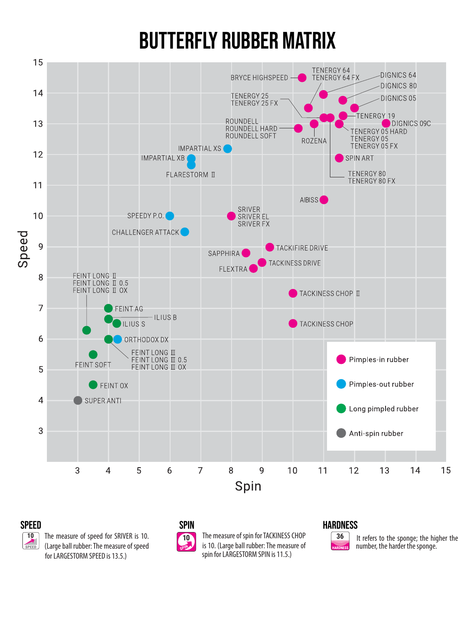## BUTTERFLY Rubber Matrix





**10** The measure of speed for SRIVER is 10. (Large ball rubber: The measure of speed for LARGESTORM SPEED is 13.5.)



**10** The measure of spin for TACKINESS CHOP is 10. (Large ball rubber: The measure of spin for LARGESTORM SPIN is 11.5.)

## **HARDNESS**



**36** It refers to the sponge; the higher the number, the harder the sponge.